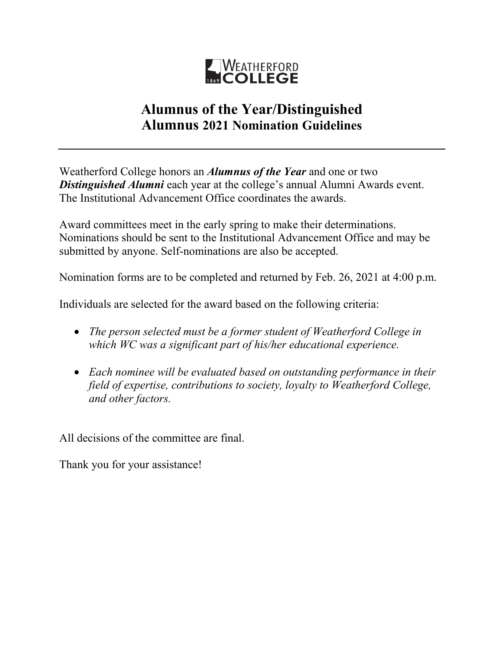

## **Alumnus of the Year/Distinguished Alumnus 2021 Nomination Guidelines**

Weatherford College honors an *Alumnus of the Year* and one or two *Distinguished Alumni* each year at the college's annual Alumni Awards event. The Institutional Advancement Office coordinates the awards.

Award committees meet in the early spring to make their determinations. Nominations should be sent to the Institutional Advancement Office and may be submitted by anyone. Self-nominations are also be accepted.

Nomination forms are to be completed and returned by Feb. 26, 2021 at 4:00 p.m.

Individuals are selected for the award based on the following criteria:

- *The person selected must be a former student of Weatherford College in which WC was a significant part of his/her educational experience.*
- *Each nominee will be evaluated based on outstanding performance in their field of expertise, contributions to society, loyalty to Weatherford College, and other factors.*

All decisions of the committee are final.

Thank you for your assistance!